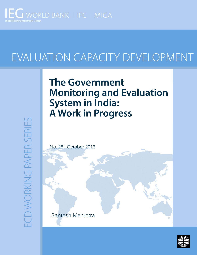

# EVALUATION CAPACITY DEVELOPMENT

## **The Government Monitoring and Evaluation System in India: A Work in Progress**

**ECD WORKING PAPER SERIES** 



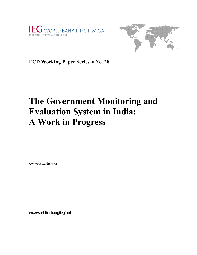



**ECD Working Paper Series ● No. 28** 

## **The Government Monitoring and Evaluation System in India: A Work in Progress**

*Santosh Mehrotra* 

**www.worldbank.org/ieg/ecd**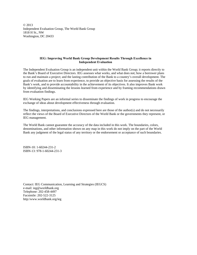© 2013 Independent Evaluation Group, The World Bank Group 1818 H St., NW Washington, DC 20433

#### **IEG: Improving World Bank Group Development Results Through Excellence in Independent Evaluation**

The Independent Evaluation Group is an independent unit within the World Bank Group; it reports directly to the Bank's Board of Executive Directors. IEG assesses what works, and what does not; how a borrower plans to run and maintain a project; and the lasting contribution of the Bank to a country's overall development. The goals of evaluation are to learn from experience, to provide an objective basis for assessing the results of the Bank's work, and to provide accountability in the achievement of its objectives. It also improves Bank work by identifying and disseminating the lessons learned from experience and by framing recommendations drawn from evaluation findings.

IEG Working Papers are an informal series to disseminate the findings of work in progress to encourage the exchange of ideas about development effectiveness through evaluation*.* 

The findings, interpretations, and conclusions expressed here are those of the author(s) and do not necessarily reflect the views of the Board of Executive Directors of the World Bank or the governments they represent, or IEG management.

The World Bank cannot guarantee the accuracy of the data included in this work. The boundaries, colors, denominations, and other information shown on any map in this work do not imply on the part of the World Bank any judgment of the legal status of any territory or the endorsement or acceptance of such boundaries.

ISBN-10: 1-60244-231-2 ISBN-13: 978-1-60244-231-3

Contact: IEG Communication, Learning and Strategies (IEGCS) e-mail: ieg@worldbank.org Telephone: 202-458-4497 Facsimile: 202-522-3125 http:/www.worldbank.org/ieg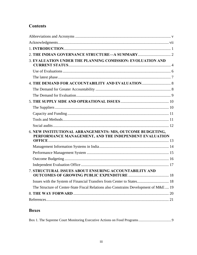## **Contents**

| 3. EVALUATION UNDER THE PLANNING COMISSION: EVOLUATION AND                                                           |  |
|----------------------------------------------------------------------------------------------------------------------|--|
|                                                                                                                      |  |
|                                                                                                                      |  |
|                                                                                                                      |  |
|                                                                                                                      |  |
|                                                                                                                      |  |
|                                                                                                                      |  |
|                                                                                                                      |  |
|                                                                                                                      |  |
|                                                                                                                      |  |
|                                                                                                                      |  |
| 6. NEW INSTITUTIONAL ARRANGEMENTS: MIS, OUTCOME BUDGETING,<br>PERFORMANCE MANAGEMENT, AND THE INDEPENDENT EVALUATION |  |
|                                                                                                                      |  |
|                                                                                                                      |  |
|                                                                                                                      |  |
|                                                                                                                      |  |
| 7. STRUCTURAL ISSUES ABOUT ENSURING ACCOUNTABILITY AND                                                               |  |
| Issues with the System of Financial Transfers from Center to States 18                                               |  |
| The Structure of Center-State Fiscal Relations also Constrains Development of M&E 19                                 |  |
|                                                                                                                      |  |
|                                                                                                                      |  |

## **Boxes**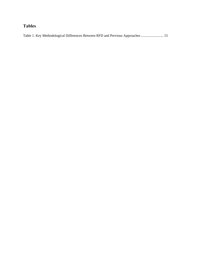## **Tables**

| Table 1. Key Methodological Differences Between RFD and Previous Approaches  15 |  |
|---------------------------------------------------------------------------------|--|
|                                                                                 |  |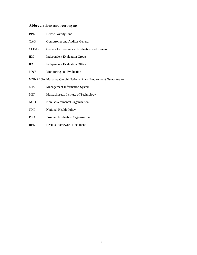## **Abbreviations and Acronyms**

| <b>BPL</b>   | <b>Below Poverty Line</b>                                      |
|--------------|----------------------------------------------------------------|
| CAG          | Comptroller and Auditor General                                |
| <b>CLEAR</b> | Centers for Learning in Evaluation and Research                |
| <b>IEG</b>   | <b>Independent Evaluation Group</b>                            |
| <b>IEO</b>   | <b>Independent Evaluation Office</b>                           |
| M&E          | Monitoring and Evaluation                                      |
|              | MGNREGA Mahatma Gandhi National Rural Employment Guarantee Act |
| <b>MIS</b>   | <b>Management Information System</b>                           |
| MIT          | Massachusetts Institute of Technology                          |
| NGO          | Non Governmental Organization                                  |
| <b>NHP</b>   | National Health Policy                                         |
| <b>PEO</b>   | Program Evaluation Organization                                |

RFD Results Framework Document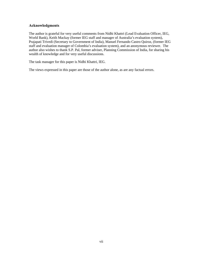#### **Acknowledgments**

The author is grateful for very useful comments from Nidhi Khattri (Lead Evaluation Officer, IEG, World Bank), Keith Mackay (former IEG staff and manager of Australia's evaluation system), Prajapati Trivedi (Secretary to Government of India), Manuel Fernando Castro Quiroz, (former IEG staff and evaluation manager of Colombia's evaluation system), and an anonymous reviewer. The author also wishes to thank S.P. Pal, former adviser, Planning Commission of India, for sharing his wealth of knowledge and for very useful discussions.

The task manager for this paper is Nidhi Khattri, IEG.

The views expressed in this paper are those of the author alone, as are any factual errors.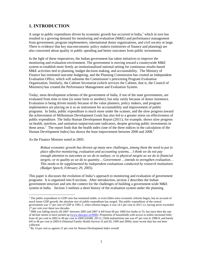## **1. INTRODUCTION**

A surge in public expenditure driven by economic growth has occurred in India, $<sup>1</sup>$  which in turn has</sup> resulted in a growing demand for monitoring and evaluation (M&E) and performance management from government, program implementers, international donor organizations, and civil society at large. There is evidence that key macroeconomic policy makers (ministries of finance and planning) are also concerned about quality in public spending and better outcomes from public investments.

In the light of these imperatives, the Indian government has taken initiatives to improve the monitoring and evaluation environment. The government is moving toward a countrywide M&E system to establish more firmly an institutionalized national setting for continuous results-based M&E activities tied to planning, budget decision making, and accountability. The Ministry of Finance has instituted outcome budgeting, and the Planning Commission has created an Independent Evaluation Office, which will subsume the Commission's preexisting Program Evaluation Organization. Similarly, the Cabinet Secretariat (which services the Cabinet, that is, the Council of Ministers) has created the Performance Management and Evaluation System.

Today, most development schemes of the government of India, if not of the state governments, are evaluated from time to time (in some form or another), but only rarely because of donor insistence. Evaluation is being driven mainly because of the value planners, policy makers, and program implementers are placing on it as an instrument for accountability and improvement of public programs. In India, public expenditure is much more under the scanner, and the slow progress toward the achievement of Millennium Development Goals has also led to a greater stress on effectiveness of public expenditure. The India Human Development Report (2011), for example, shows slow progress on health, nutrition, and sanitation output/outcome indicators, despite growing public investments in these areas.<sup>2</sup> The report finds that the health index (one of the three indices in the calculation of the Human Development Index) has shown the least improvement between 2000 and 2008.<sup>3</sup>

As the Finance Minister noted in 2005:

 $\overline{a}$ 

*Robust economic growth has thrown up many new challenges, among them the need to put in place effective monitoring, evaluation and accounting systems… I think we do not pay enough attention to outcomes as we do to outlays; or to physical targets as we do to financial targets; or to quality as we do to quantity… Government …intends to strengthen evaluation… This needs to be supplemented by independent evaluations conducted by research institutions (Budget Speech, February 29, 2005).* 

This paper is discusses the evolution of India's approach to monitoring and evaluation of government programs. It is organized into 8 sections. After introduction, section 2 describes the Indian government structure and sets the context for the challenges of building a government-wide M&E system in India. Section 3 outlines a short history of the evaluation system under the planning

<sup>&</sup>lt;sup>1</sup> The public expenditure to GDP ratio has remained stable, or even fallen since economic reforms began, but on account of much faster GDP growth, the absolute size of public expenditure has surged. The public expenditure of the central government was 17 per cent of GDP in 1991-2, when reforms began; it was 14.5 per cent in 2011-12, having never exceeded 17 per cent over these two decades.

<sup>&</sup>lt;sup>2</sup> IMR was falling slowly till 2007: between 2003 and 2007 it fell from 60 per 1000 live births to 55; but since then the rate of decline seems to have picked up (www.data.gov.in/IMR). Proportion of households with access to toilets increased little: from 42 per cent in 2002 to 49 per cent in 2009 (IAMR, 2011). Child malnutrition rate was 47 per cent in 1998-9, and barely fell to 46 per cent in 2005-6 (National Family Health Surveys II and III, 1999 and 2006); more recent data has not been collected.

 $3$  By 14 per cent as against 21 per cent for Human Development Index overall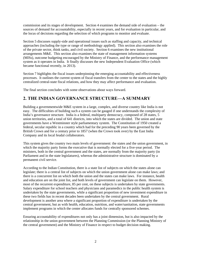commission and its stages of development. Section 4 examines the demand side of evaluation – the sources of demand for accountability, especially in recent years, and for evaluation in particular, and the locus of decisions regarding the selection of which programs to monitor and evaluate.

Section 5 discusses supply-side and operational issues such as staffing and capacity, and technical approaches (including the type or range of methodology applied). This section also examines the role of the private sector, think tanks, and civil society. Section 6 examines the new institutional arrangements M&E. This section also examines the state of management information systems (MISs), outcome budgeting encouraged by the Ministry of Finance, and the performance management system as it operates in India. It finally discusses the new Independent Evaluation Office (which became functional recently, in 2013).

Section 7 highlights the fiscal issues underpinning the emerging accountability and effectiveness processes. It outlines the current system of fiscal transfers from the center to the states and the highly centralized central-state fiscal relations, and how they may affect performance and evaluation.

The final section concludes with some observations about ways forward.

## **2. THE INDIAN GOVERNANCE STRUCTURE—A SUMMARY**

Building a governmentwide M&E system in a large, complex, and diverse country like India is not easy. The difficulties of building such a system can be gauged if one understands the complexity of India's governance structure. India is a federal, multiparty democracy, composed of 28 states, 5 union territories, and a total of 641 districts, into which the states are divided. The union and state governments have a Westminster style parliamentary system. The Constitution of 1950 created a federal, secular republic in a country which had for the preceding 90 years been governed by the British Crown and for a century prior to 1857 (when the Crown took over) by the East India Company and its local feudal collaborators.

This system gives the country two main levels of government: the states and the union government, in which the majority party forms the executive that is normally elected for a five-year period. The ministers, both in the central government and the states, are normally from the majority party (in Parliament and in the state legislatures), whereas the administrative structure is dominated by a permanent civil service.

According to the Indian Constitution, there is a state list of subjects on which the states alone can legislate; there is a central list of subjects on which the union government alone can make laws; and there is a concurrent list on which both the union and the states can make laws. For instance, health and education are on the joint list, and both levels of government can legislate on them. However, most of the recurrent expenditure, 85 per cent, on these subjects is undertaken by state governments. Salary expenditure for school teachers and physicians and paramedics in the public health system is undertaken by the state governments, while a significant proportion of new investment expenditure in these two fields has in recent decades been undertaken by the central government. Rural development is another area where a significant proportion of expenditure is undertaken by the central government, but as with health, education, nutrition, and water/sanitation, state governments implement programs in which the center allocates funds for centrally sponsored schemes.

Ensuring accountability of expenditures not only has a joint dimension, but is also impacted by the relationship in the union government between the Planning Commission (or the Planning Ministry of the central government) and the Ministry of Finance in respect to budget decision making.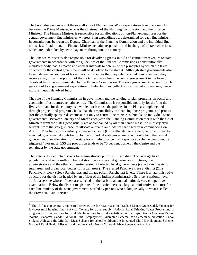The broad discussions about the overall size of Plan and non-Plan expenditures take place mainly between the Prime Minister, who is the Chairman of the Planning Commission, and the Finance Minister. The Finance Minister is responsible for all allocations of non-Plan expenditures for the central government line ministries, whereas Plan expenditures are determined for each line ministry in consultations between the Deputy-Chairman of the Planning Commission and the individual line ministries. In addition, the Finance Minister remains responsible and in charge of all tax collections, which are undertaken by central agencies throughout the country.

The Finance Minister is also responsible for devolving grants-in-aid and central tax revenues to state governments in accordance with the guidelines of the Finance Commission (a constitutionally mandated body that is created at five-year intervals to determine the principles by which the taxes collected by the central government will be devolved to the states). Although state governments also have independent sources of tax and nontax revenues that they retain (called own revenues), they receive a significant proportion of their total resources from the central government in the form of devolved funds, as recommended by the Finance Commission. The state governments account for 56 per cent of total government expenditure in India, but they collect only a third of all revenues, hence must rely upon devolved funds.

The role of the Planning Commission in government and the funding of plan programs on social and economic infrastructures remain central. The Commission is responsible not only for drafting the five-year plans for the country as a whole, but because the policies in the Plan are implemented through projects and programs, it also has the responsibility of financing those programs and projects (for the centrally sponsored schemes), not only to central line ministries, but also to individual state governments. Between January and March each year, the Planning Commission meets with the Chief Ministers from the states (who usually are accompanied by all their senior-most line ministry civil servants from the state), in order to allocate annual plan funds for that fiscal year commencing on April 1. Plan funds for a centrally sponsored scheme (CSS) allocated to a state government must be matched by a financial contribution by the individual state government, without which the central government plan allocation for the state for an individual centrally sponsored scheme would not be triggered.4 For most CSS the proportion tends to be 75 per cent borne by the Centre and the remainder by the state government.

The state is divided into districts for administrative purposes. Each district on average has a population of about 2 million. Each district has two parallel governance structures, one administrative and the other a three-tier system of elected local governments (called Panchayats for rural areas and urban local bodies for urban areas). The elected Panchayats are at district (Zila Panchayat), block (block Panchayat), and village (Gram Panchayat) levels. There is an administrative structure for the district headed by an officer of the Indian Administrative Service, a national-level all-India service whose officers are selected on the basis of an annual national, very competitive examination. Below the district magistrate of the district there is a large administrative structure for each line ministry of the state government, staffed by persons who belong usually to what is called the Provincial Civil Service.

 $\overline{a}$ 

<sup>&</sup>lt;sup>4</sup> The 13 flagship centrally sponsored schemes are for rural roads the Pradhan Mantri Gram Sadak Yojana; for low-cost rural housing: Indira Awaas Yojana; for water supply, National Rural Drinking Water Programme; a program for irrigation; one for rural telephony; one for rural electrification, the Rajiv Gandhi Grameen Vidyut Yojana, Mahatma Gandhi National Rural Employment Guarantee Scheme; for elementary education, Sarva Shikhsa Abhiyan; the Mid Day Meal Scheme for school children; the Integrated Child Development Scheme; National Rural Health Mission; and the Jawaharlal Nehru National Urban Renewable Mission.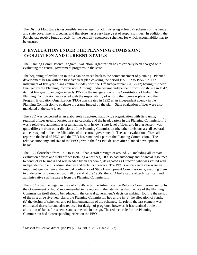The District Magistrate is responsible, on average, for administering at least 75 schemes of the central and state governments together, and therefore has a very heavy set of responsibilities. In addition, the Panchayats receive funds directly for the centrally sponsored schemes, for which accountability has to be ensured.

## **3. EVALUATION UNDER THE PLANNING COMISSION: EVOLUATION AND CURRENT STATUS**

The Planning Commission's Program Evaluation Organization has historically been charged with evaluating the central government programs in the state.

The beginning of evaluation in India can be traced back to the commencement of planning. Planned development began with the first five-year plan covering the period 1951–52 to 1956–57. The instrument of five-year plans continues today with the  $12<sup>th</sup>$  five-year plan (2012–17) having just been finalized by the Planning Commission. Although India became independent from British rule in 1947, its first five-year plan began in early 1950 on the inauguration of the Constitution of India. The Planning Commission was vested with the responsibility of writing the five-year plans, and the Program Evaluation Organization (PEO) was created in 1952 as an independent agency in the Planning Commission to evaluate programs funded by the plan. State evaluation offices were also mandated at the state level.

The PEO was conceived as an elaborately structured nationwide organization with field units, regional offices usually located in state capitals, and the headquarters in the Planning Commission.<sup>5</sup> It was a relatively autonomous organization, with its own state-level offices, and in that sense it was quite different from other divisions of the Planning Commission (the other divisions are all sectoral and correspond to the line Ministries of the central government). The state evaluation offices all report to the head of PEO, and the PEO has remained a part of the Planning Commission. The relative autonomy and size of the PEO grew in the first two decades after planned development began.

The PEO flourished from 1952 to 1970. It had a staff strength of around 500 including all its state evaluation offices and field offices (totaling 40 offices). It also had autonomy and financial resources to conduct its business and was headed by an academic, designated as Director, who was vested with independence in all its administrative and technical powers. The PEO's reports each year were an important agenda item at the annual conference of State Development Commissioners, enabling them to undertake follow-up action. Till the end of the 1960s, the PEO had a cadre of technical staff and administrative staff separate from the Planning Commission.

The PEO's decline began in the early 1970s, after the Administrative Reforms Commission (set up by the Government of India) recommended in its reports in the late sixties that the role of the Planning Commission itself should be reduced in the central government's decision making. During the period of the first three five-year plans, the Planning Commission had a role in (a) the allocation of funds, (b) the design of schemes, and (c) implementation of the schemes. Its role in the last element was eliminated thereafter and also reduced for design of programs; however, it has retained a role in allocation of funds for schemes and some role in design. The reduced role for the Planning Commission had a corresponding effect on the PEO.

 $\overline{a}$  $<sup>5</sup>$  Most of this section draws upon Pal (2011a, 2011b, 2012a, and 2012b).</sup>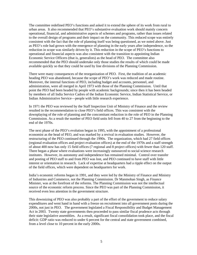The committee redefined PEO's functions and asked it to extend the sphere of its work from rural to urban areas. It also recommended that PEO's substantive evaluation work should mainly concern operational, financial, and administrative aspects of schemes and programs, rather than issues related to the overall design of programs and their impact on the community. This reduced scope was entirely consistent with the fact that the role of planning itself was being questioned, as we noted above. Just as PEO's role had grown with the emergence of planning in the early years after independence, so the reduction in scope was similarly driven by it. This reduction in the scope of PEO's functions to operational and financial aspects was also consistent with the transition to appointing Indian Economic Service Officers (that is, generalists) as the head of PEO. The committee also recommended that the PEO should undertake only those studies the results of which could be made available quickly so that they could be used by line divisions of the Planning Commission.

There were many consequences of the reorganization of PEO. First, the tradition of an academic heading PEO was abandoned, because the scope of PEO's work was reduced and made routine. Moreover, the internal functions of PEO, including budget and accounts, personnel, and administration, were all merged in April 1973 with those of the Planning Commission. Until that point the PEO had been headed by people with academic backgrounds; since then it has been headed by members of all India Service Cadres of the Indian Economic Service, Indian Statistical Service, or Indian Administrative Service—people with little research experience.

In 1971 the PEO was reviewed by the Staff Inspection Unit of Ministry of Finance and the review resulted in the recommendation to close PEO's field offices. This was consistent with the downplaying of the role of planning and the concomitant reduction in the role of PEO in the Planning Commission. As a result the number of PEO field units fell from 40 to 27 from the beginning to the end of the 1970s.

The next phase of the PEO's evolution began in 1995, with the appointment of a professional economist as the head of PEO, and was marked by a revival in evaluation studies. However, the restructuring of the PEO continued through the 1990s. The organization, which had 27 field offices (regional evaluation offices and project evaluation offices) at the end of the 1970s and a staff strength of about 400 now has only 15 field offices (7 regional and 8 project offices) with fewer than 120 staff. There began a phase where evaluations were increasingly outsourced to social science research institutes. However, its autonomy and independence has remained minimal. Control over transfer and posting of PEO staff to and from PEO was lost, and PEO continued to have staff with little interest or orientation in research. Lack of expertise at headquarters had a ripple effect on the output of the field offices, which were dependent on headquarters for work.

India's economic reforms began in 1991, and they were led by the Ministry of Finance and Ministry of Industries and Commerce, not the Planning Commission. Dr Manmohan Singh, as Finance Minister, was at the forefront of the reforms. The Planning Commission was not the intellectual source of the economic reform process. Since the PEO was part of the Planning Commission, it received even less attention in the government structure.

This downsizing of PEO was also probably a part of the effort of the government to reduce salary expenditures and went hand in hand with a freeze on recruitment into all government posts during the 2000s, not just in PEO. The government legislated a Fiscal Responsibility and Budget Management Act in 2003. Twenty state governments then proceeded to pass similar fiscal prudence acts through their state legislative assemblies. As a result, significant fiscal consolidation took place, and the fiscal deficit: GDP ratio was reduced to under 6 percent for the central and state government combined, from a level close to 10 percent in the early 2000s.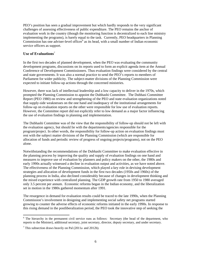PEO's position has seen a gradual improvement but which hardly responds to the very significant challenges of assessing effectiveness of public expenditure. The PEO remains the anchor of evaluation work in the country (though the monitoring function is decentralized to each line ministry implementing the programs), is barely equal to the task. Currently, PEO headquarters in Planning Commission has one adviser-level officer<sup>6</sup> as its head, with a small number of Indian economic service officers as support.

## **Use of Evaluations***<sup>7</sup>*

In the first two decades of planned development, when the PEO was evaluating the community development programs, discussions on its reports used to form an explicit agenda item at the Annual Conference of Development Commissioners. Thus evaluation findings were considered by the central and state governments. It was also a normal practice to send the PEO's reports to members of Parliament for wider publicity. The subject-matter divisions of the Planning Commission were expected to initiate follow-up actions through the concerned ministries.

However, there was lack of intellectual leadership and a low capacity to deliver in the 1970s, which prompted the Planning Commission to appoint the Dubhashi Committee. The Dubhasi Committee Report (PEO 1980) on review and strengthening of the PEO and state evaluation organizations noted that supply-side weaknesses on the one hand and inadequacy of the institutional arrangements for follow-up on evaluation reports on the other were responsible for low use of evaluation reports. However, the Committee report did not explicitly refer to low demand as a major factor influencing the use of evaluation findings in planning and implementation.

The Dubhashi Committee was of the view that the responsibility of follow-up should not be left with the evaluation agency, but should lie with the departments/agencies responsible for the program/project. In other words, the responsibility for follow-up action on evaluation findings must rest with the subject matter divisions of the Planning Commission (which are responsible for allocation of funds and periodic review of progress of ongoing projects/programs), not on the PEO alone.

Notwithstanding the recommendations of the Dubhashi Committee to make evaluation effective in the planning process by improving the quality and supply of evaluation findings on one hand and measures to improve use of evaluation by planners and policy makers on the other, the 1980s and early 1990s actually witnessed a decline in evaluation output and activities, as we have noted above. The effectiveness of the Planning Commission, which played a key role in devising development strategies and allocation of development funds in the first two decades (1950s and 1960s) of the planning process in India, also declined considerably because of changes in development thinking and the mixed experience with centralized planning. The GDP growth rate from 1950 to 1980 averaged only 3.5 percent per annum. Economic reforms began in the Indian economy, and the liberalization set in motion in the 1980s gathered momentum after 1991.

The resurgence in demand for evaluation results could be traced to the late 1990s, when the Planning Commission's involvement in designing and implementing social safety net programs started growing to counter the adverse effects of economic reforms initiated in the early 1990s. In response to this rising demand in the postliberalization period, the PEO took the innovative step of seeking the

 $\overline{a}$ 

<sup>&</sup>lt;sup>6</sup> The hierarchy in the permanent civil service runs as follows: Secretary (the head of the department, who reports to the Minister), additional secretary, joint secretary, director, deputy secretary, and under secretary.

<sup>&</sup>lt;sup>7</sup> This subsection draws heavily on Pal  $(2011a$  and  $2012b)$ .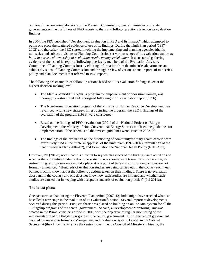opinion of the concerned divisions of the Planning Commission, central ministries, and state governments on the usefulness of PEO reports to them and follow-up actions taken on its evaluation findings.

In 2004, the PEO published "Development Evaluation in PEO and Its Impact," which attempted to put in one place the scattered evidence of use of its findings. During the ninth Plan period (1997– 2002) and thereafter, the PEO started involving the implementing and planning agencies (that is, ministries and subject divisions of Planning Commission) at various stages of its evaluation studies *to build in a sense of ownership of evaluation results among stakeholders*. It also started gathering evidence of the use of its reports (following queries by members of the Evaluation Advisory Committee of Planning Commission) by eliciting information from the ministries/departments and subject divisions of Planning Commission and through review of various annual reports of ministries, policy and plan documents that referred to PEO reports.

The following are examples of follow-up actions based on PEO evaluation findings taken at the highest decision-making level:

- The Mahila Samriddhi Yojana, a program for empowerment of poor rural women, was thoroughly restructured and redesigned following PEO's evaluation report (1996).
- The Non-Formal Education program of the Ministry of Human Resource Development was revamped, with a new strategy. In restructuring the program, the PEO's findings of the evaluation of the program (1998) were considered.
- Based on the findings of PEO's evaluation (2001) of the National Project on Bio-gas Development, the Ministry of Non-Conventional Energy Sources modified the guidelines for implementation of the scheme and the revised guidelines were issued in 2002–03.
- The findings of the evaluation on the functioning of community/primary health centers were extensively used in the midterm appraisal of the ninth plan (1997–2002), formulation of the tenth five-year Plan (2002–07), and formulation the National Health Policy (NHP 2002).

However, Pal (2012b) notes that it is difficult to say which aspects of the findings were acted on and whether the substantive findings about the systemic weaknesses were taken into consideration, as restructuring of programs may not take place at one point of time and all follow-up actions are not formally announced. "Hundreds of evaluation studies are being carried out in the country each year, but not much is known about the follow-up actions taken on their findings. There is no evaluation data bank in the country and one does not know how such studies are initiated and whether such studies are carried out in keeping with accepted standards of evaluation practice" (Pal 2011a).

## **The latest phase**

One can surmise that during the Eleventh Plan period (2007–12) India might have reached what can be called a new stage in the evolution of its evaluation function. Several important developments occurred during this period. First, emphasis was placed on building an online MIS system for all the 13 flagship programs of the central government. Second, a Development Monitoring Unit was created in the Prime Minister's office in 2009, with the objective of regular monitoring of the implementation of the flagship programs of the central government. Third, the central government decided to create a Performance Management and Evaluation System, located in the Cabinet Secretariat (the office that *services* the central government's Council of Ministers). Finally, the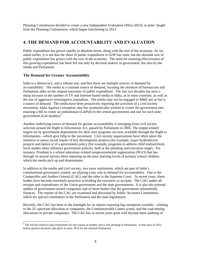Planning Commission decided to create a new Independent Evaluation Office (IEO), at arms' length from the Planning Commission, which began functioning in 2013.

## **4. THE DEMAND FOR ACCOUNTABILITY AND EVALUATION**

Public expenditure has grown rapidly in absolute terms, along with the size of the economy. As we noted earlier, it is not that the share of public expenditure in GDP has risen, but the absolute size of public expenditure has grown with the size of the economy. The need for ensuring effectiveness of this growing expenditure has been felt not only by decision makers in government, but also by the media and Parliament.

## **The Demand for Greater Accountability**

 $\overline{a}$ 

India is a democracy, and a vibrant one, and thus there are multiple sources of demand for accountability. The media is a constant source of demand, focusing the attention of bureaucrats and Parliament alike on the outputs/outcomes of public expenditure. The last two decades has seen a sharp increase in the number of TV and Internet-based media in India, as in most countries, as well as the rise of aggressive investigative journalism. The media may not be engaged in M&E per se but is a source of demand. The media have been proactively reporting the activities of a civil society movement, India Against Corruption, that has systematically worked to corner the government into enacting a bill to create an ombudsman (*LokPal*) in the central government and one for each state government (*Lok-Ayukta*),<sup>8</sup>

Another underlying source of demand for greater accountability is emerging from civil society activism around the Right to Information Act, passed by Parliament in 2005. The output-related targets set by government departments for their own programs are now available through the Right to Information—which give fillip to the movement. Civil society organizations have often taken the initiative to assess social impact of key development projects (for example, major hydroelectric projects and dams) or of a government policy (for example, programs to address child malnutrition). Such studies often influence government policies, both at the planning and execution stages. For instance, *Pratham* is a school education–related nongovernmental organization (NGO) that has through its annual surveys been reporting on the poor learning levels of primary school children, which the media pick up and disseminates.

In addition to the media and civil society, two more institutions, which are part of India's constitutional governance system, are playing a key role in demand for accountability. One is the Comptroller and Auditor General (CAG) and the other is the Supreme Court. In recent years, these bodies have become extremely proactive in holding the executive to account. The CAG audits all receipts and expenditures of the Union government and the state governments. It is also the external auditor of government-owned companies and of those bodies that the government substantially finances. The reports of the CAG are examined and discussed by Public Accounts Committees, which are special committees in the Parliament and the state legislatures.

Recently, the CAG has been in the limelight for its reports exposing big corruption scandals – relating to the 2G spectrum allocation to companies, the Commonwealth Games scams, and the coal-mining allocations to private companies. The CAG has in recent years gone well beyond mere auditing of

 $8$  The bill has failed to pass Parliament for one reason or another and is still pending in Parliament. It may pass in 2013, before general elections take place in early 2014 for the national Parliament.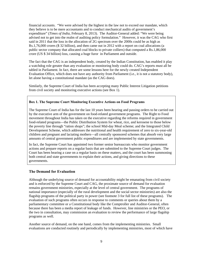financial accounts. "We were advised by the highest in the law not to exceed our mandate, which they believe is to be mere accountants and to conduct mechanical audits of government's expenditure" (*Times of India,* February 8, 2013). The Auditor-General added: "We were being advised not to get into the realm of auditing policy formulation." However, it was the CAG who first said in 2011 that the loss in the allocation of 2G spectrum over the 2000s could be as high as Rs.1,76,000 crores (\$ 32 billion), and then came out in 2012 with a report on coal allocations (a public sector company that allocated coal blocks to private colliers) that computed a Rs.1,86,000 crore (US \$ 34 billion) loss, causing a huge furor in Parliament and outside.

The fact that the CAG is an independent body, created by the Indian Constitution, has enabled it play a watchdog role greater than any evaluation or monitoring body could do. CAG's reports must all be tabled in Parliament. In fact, there are some lessons here for the newly created Independent Evaluation Office, which does not have any authority from Parliament (i.e., it is not a statutory body), let alone having a constitutional mandate (as the CAG does).

Similarly, the Supreme Court of India has been accepting many Public Interest Litigation petitions from civil society and monitoring executive actions (see Box 1).

## **Box 1. The Supreme Court Monitoring Executive Actions on Food Programs**

The Supreme Court of India has for the last 10 years been hearing and passing orders to be carried out by the executive arm of the government on food-related government programs. The Right to Food movement throughout India has taken on the executive regarding the reforms required in government food-related programs—the Public Distribution System for wheat, rice, and kerosene to those below the poverty line through "ration shops"; the school Mid-day Meal scheme; and the Integrated Child Development Scheme, which addresses the nutritional and health requirement of zero to six-year-old children and pregnant and lactating mothers—all centrally sponsored schemes that absorb very large amounts of central government public expenditures and are implemented by state governments.

In fact, the Supreme Court has appointed two former senior bureaucrats who monitor government actions and prepare reports on a regular basis that are submitted to the Supreme Court judges. The Court has been hearing a case on a regular basis on these matters, and the court has been summoning both central and state governments to explain their actions, and giving directions to these governments.

## **The Demand for Evaluation**

Although the underlying source of demand for accountability might be emanating from civil society and is enforced by the Supreme Court and CAG, the proximate source of demand for evaluation remains government ministries, especially at the level of central government. The programs of national importance (especially of the rural development and the social sector ministries) are also the flagship programs of the political party in power (see footnote 3 for full list of these programs). The evaluation of such programs often occurs in response to comments or queries about them by a parliamentary committee or a Constitutional body like the Comptroller and Auditor-General, often because there has been a media report of leakage of funds. However, line ministries or the PEO, or the two in consultation, may commission an evaluation to review the performance of large flagship programs as well.

Another source of demand, on the one hand, comes from the implementing ministries. Small evaluations are conducted routinely and periodically by implementing ministries, most of which have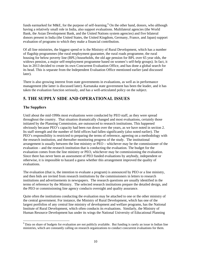funds earmarked for M&E, for the purpose of self-learning.<sup>9</sup> On the other hand, donors, who although having a relatively small role in India, also support evaluations. Multilateral agencies (the World Bank, the Asian Development Bank, and the United Nations system agencies) and five bilateral donors present in India (the United States, the United Kingdom, Germany, France, and Japan) support evaluation of programs to which they make a financial contribution.

Of all line ministries, the biggest spend er is the Ministry of Rural Development, which has a number of flagship programmes (the rural employment guarantee, the rural roads programme, the rural housing for below poverty line (BPL) households, the old age pension for BPL over 65 year olds, the widows pension, a major self-employment programme based on women's self-help groups). In fact, it has in 2013 decided to create its own Concurrent Evaluation Office, and has done a global search for its head. This is separate from the Independent Evaluation Office mentioned earlier (and discussed later).

There is also growing interest from state governments in evaluations, as well as in performance management (the latter is discussed later). Karnataka state government has been the leader, and it has taken the evaluation function seriously, and has a well-articulated policy on the subject.

## **5. THE SUPPLY SIDE AND OPERATIONAL ISSUES**

## **The Suppliers**

 $\overline{a}$ 

Until about the mid-1990s most evaluations were conducted by PEO staff, as they were spread throughout the country. That situation dramatically changed and most evaluations, certainly those initiated by the Planning Commission, are outsourced to research institutions. This happened obviously because PEO's capacity had been run down over the years, as we have noted in section 2. Its staff strength and the number of field offices had fallen significantly (also noted earlier). The PEO's responsibility is restricted to preparing the terms of reference, agreeing on a methodology with the research institution, and thereafter monitoring progress of the study. The institutional arrangement is usually between the line ministry or PEO – whichever may be the commissioner of the evaluation – and the research institution that is conducting the evaluation. The budget for the evaluation comes from the line ministry or PEO, whichever may be commissioning the evaluation. Since there has never been an assessment of PEO funded evaluations by anybody, independent or otherwise, it is impossible to hazard a guess whether this arrangement improved the quality of evaluations.

The evaluation (that is, the intention to evaluate a program) is announced by PEO or a line ministry, and then bids are invited from research institutions by the commissioners in letters to research institutions and advertisements in newspapers. The research questions are usually identified in the terms of reference by the Ministry. The selected research institutions prepare the detailed design, and the PEO or commissioning line agency conducts oversight and quality assurance.

Quite often the institutions conducting the evaluation may be attached to one or the other ministry of the central government. For instance, the Ministry of Rural Development, which has one of the largest portfolios of any central line ministry of development and welfare programs, has the National Institute of Rural Development, which often conducts its evaluations. Similarly, the Ministry of Human Resource Development has under its wings the National University of Educational Planning

 $9^9$  Data on share of budgets for evaluation are not publicly available. But funding is rarely an issue in Indian line ministries, which are constantly calling on research organizations to conduct concurrent evaluations for them.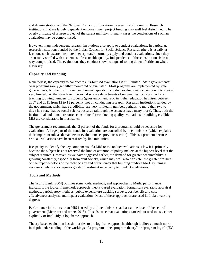and Administration and the National Council of Educational Research and Training. Research institutions that are largely dependent on government project funding may well feel disinclined to be overly critically of a large project of the parent ministry. In many cases the conclusions of such an evaluation may be compromised.

However, many independent research institutions also apply to conduct evaluations. In particular, research institutions funded by the Indian Council for Social Science Research (there is usually at least one such research institute in every state), normally apply and conduct evaluations, since they are usually staffed with academics of reasonable quality. Independence of these institutions is in no way compromised. The evaluations they conduct show no signs of toning down of criticism where necessary.

## **Capacity and Funding**

Nonetheless, the capacity to conduct results-focused evaluations is still limited. State governments' own programs rarely get either monitored or evaluated. Most programs are implemented by state governments, but the institutional and human capacity to conduct evaluations focusing on outcomes is very limited. At the state level, the social science departments of universities focus primarily on teaching growing numbers of students (gross enrolment ratio in higher education has risen between 2007 and 2011 from 12 to 18 percent), not on conducting research. Research institutions funded by the government, which have credibility, are very limited in number, perhaps no more than two to three in a state that do social science research (although the sciences have many more). Thus, both the institutional and human resource constraints for conducting quality evaluations or building credible MIS are considerable in most states.

The government recommends that 2 percent of the funds for a program should be set aside for evaluation. A large part of the funds for evaluation are controlled by line ministries (which explains their important role as demanders of evaluation; see previous section). This is a problem because critical evaluations have been resisted by line ministries.

If capacity to identify the key components of a MIS or to conduct evaluations is low it is primarily because the subject has not received the kind of attention of policy-makers at the highest level that the subject requires. However, as we have suggested earlier, the demand for greater accountability is growing constantly, especially from civil society, which may well also translate into greater pressure on the upper echelons of the technocracy and bureaucracy that building credible M&E systems is necessary, which also requires greater investment in capacity to conduct evaluations.

## **Tools and Methods**

The World Bank (2004) outlines some tools, methods, and approaches to M&E: performance indicators, the logical framework approach, theory-based evaluation, formal surveys, rapid appraisal methods, participatory methods, public expenditure tracking surveys, cost benefit and costeffectiveness analysis, and impact evaluation. Most of these approaches are used in India o varying degrees.

Performance indicators or an MIS is used by all line ministries, at least at the level of the central government (Mehrotra and others 2013). It is also true that evaluations carried out tend to use, either explicitly or implicitly, a log-frame approach.

Theory-based evaluation has similarities to the log-frame approach, although it allows a much more in-depth understanding of the workings of a program—the "program theory" or "program logic" (IEG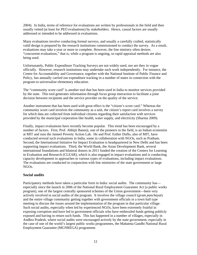2004). In India, terms of reference for evaluations are written by professionals in the field and then usually vetted (at least for PEO evaluations) by stakeholders. Hence, casual factors are usually addressed or intended to be addressed in evaluations.

Many evaluations involve conducting formal surveys, and usually a carefully crafted, statistically valid design is prepared by the research institutions commissioned to conduct the survey. As a result, evaluations may take a year or more to complete. However, the line ministry often desires "concurrent evaluations," that is, while a program is ongoing, so rapid appraisal methods are also being used.

Unfortunately, Public Expenditure Tracking Surveys are not widely used, nor are they in vogue officially. However, research institutions may undertake such work independently. For instance, the Centre for Accountability and Governance, together with the National Institute of Public Finance and Policy, has annually carried out expenditure tracking in a number of states in connection with the program to universalize elementary education.

The "community score card" is another tool that has been used in India to monitor services provided by the state. This tool generates information through focus group interaction to facilitate a joint decision between recipients and the service provider on the quality of the service.

Another instrument that has been used with great effect is the "citizen's score card." Whereas the community score card involves the community as a unit, the citizen's report card involves a survey for which data are collected from individual citizens regarding their satisfaction with services provided by the municipal corporation like health, water supply, and electricity (Sharma 2009).

Finally, impact evaluations have recently become popular. This trend has been encouraged by a number of factors. First, Prof. Abhijit Banerji, one of the pioneers in the field, is an Indian economist at MIT and runs the Jameel Poverty Action Lab. He and Prof. Esther Duflo, also of MIT, have conducted several such evaluations in India, some in collaboration with NGOs, such as Pratham. Second, the International Initiative for Impact Evaluation is headquartered in New Delhi and has been supporting impact evaluations. Third, the World Bank, the Asian Development Bank, several international foundations and bilateral donors in 2011 funded the creation of the Centers for Learning in Evaluation and Research (CLEAR), which is also engaged in impact evaluations and is conducting capacity development in approaches to various types of evaluations, including impact evaluations. The evaluations are conducted in conjunction with line ministries of the state government or large NGOs.

## **Social audits**

Participatory methods have taken a particular form in India: social audits. The community has especially since the launch in 2006 of the National Rural Employment Guarantee Act (a public works program), one of the largest centrally sponsored schemes of the Union government—been very actively involved in social audits of the program. It involves the village council (*gram panchayat*) and the entire village community getting together with government officials in a town hall type meeting to discuss the issues around the implementation of the program in that particular village. Such social audits, especially when led by experienced NGOs, have been extremely fruitful in exposing corruption and have led to government officials who have embezzled funds getting publicly exposed and having to return such funds. This has happened in a number of villages, especially in Andhra Pradesh, where social audits were encouraged actively by the state government, especially in the case of one of the world's largest public works programmes, the Mahatma Gandhi National Rural Employment Guarantee (MGNREGA) programme.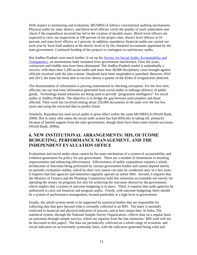With respect to monitoring and evaluation, MGNREGA follows conventional auditing mechanisms. Physical audits by state, district, and block-level officers verify the quality of work undertaken and check if the expenditure incurred has led to the creation of durable assets. Block-level officers are expected to carry out inspections at 100 percent of the project sites, district level officers at 10 percent, and state-level officers at 2 percent. In addition, mandatory financial audits are carried out each year by local fund auditors at the district level or by the chartered accountants appointed by the state government. Continued funding of the projects is contingent on satisfactory audits.

But Andhra Pradesh went much further. It set up the Society for Social Audit, Accountability and Transparency, an autonomous body insulated from government interference. Over the years, contractors and middle men have been eliminated. The Andhra Pradesh model is undoubtedly a success, with more than 3,200 social audits and more than 38,000 disciplinary cases brought against officials involved with the jobs scheme. Hundreds have been suspended or punished. Between 2010 and 2013, the team has been able to recover almost a quarter of the \$24m of irregularities detected.

The dissemination of information is proving instrumental in checking corruption. For the first time, officials can use real-time information generated from social audits to redesign delivery of public goods. Technology-based solutions are being used to provide "programme intelligence" for social audits in Andhra Pradesh. The objective is to bridge the gap between policymakers and those affected. Their work has involved mining about 250,000 documents in the state over the last few years and using the extracted data to predict fraud.

Similarly, Rajasthan has used social audits to great effect within the same MGNREGA (World Bank, 2009). But in many othe states the social audit system has had difficulty in taking off, primarily because of limited support from the state government, though there have been some limited successes (World Bank, 2009a).

## **6. NEW INSTITUTIONAL ARRANGEMENTS: MIS, OUTCOME BUDGETING, PERFORMANCE MANAGEMENT, AND THE INDEPENDENT EVALUATION OFFICE**

Evaluations and social audits alone cannot be the main mechanism of a system of accountability and evidence-generation for policy for any government. There are a number of dimensions to ensuring improvements and enhancing effectiveness. Effectiveness of public expenditure requires a whole architecture of functions being performed by various government bodies and cannot depend merely on periodic evaluation studies, which by their very nature can only be conducted once in a few years. It requires that line agencies and ministries regularly operate an online MIS. Second, it requires that the Ministry of Finance and the Planning Commission hold line ministries accountable not merely for spending the money on programs but also for achieving the outcomes desired by the government, which implies that a system of outcome budgeting is in place. Third, it requires that audit agencies be authorized to carry out financial and program audits. Fourth, with outcome budgeting, there should be a system of performance management, located preferably at a high level in government.

Finally, the whole system needs to be supported by statistical bodies that are responsible for collecting data that goes beyond what is normally collected in an MIS. The latter is normally restricted to financial and physical indicators of process, and at best output data. In India, The statistical system, through the National Sample Survey Organization, collects data on a regular basis on outcomes through sample surveys, which are separate from the line ministries' MIS (and will not be discussed in this paper). The data are periodically collected on a whole range of economic and social indicators on an extremely systematic basis, with the indicators generated being valid and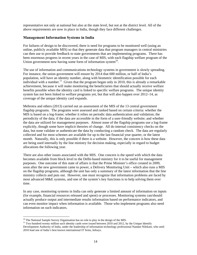representative not only at national but also at the state level, but not at the district level. All of the above requirements are now in place in India, though they face different challenges.

#### **Management Information Systems in India**

For failures of design to be discovered, there is need for programs to be monitored well (using an online, publicly available MIS) so that they generate data that program managers in central ministries can then use to provide feedback to state governments that are implementing programs. There has been enormous progress in recent years in the case of MIS, with each flagship welfare program of the Union government now having some form of information system $10$ .

The use of information and communications technology systems in government is slowly spreading. For instance, the union government will ensure by 2014 that 600 million, or half of India's population, will have an identity number, along with biometric identification possible for each individual with a number.<sup>11</sup> Given that the program began only in 2010, this is already a remarkable achievement, because it will make monitoring the beneficiaries that should actually receive welfare benefits possible when the identity card is linked to specific welfare programs. The unique identity system has not been linked to welfare programs yet, but that will also happen over 2012–14, as coverage of the unique identity card expands.

Mehrotra and others (2013) carried out an assessment of the MIS of the 13 central government flagship programs. The programs were assessed and ranked based on certain criteria: whether the MIS is based on a log-frame; whether it relies on periodic data authentication and validation; the periodicity of the data; if the data are accessible in the form of a user-friendly website; and whether the data are utilized for management purposes. Almost none of the flagship programs use a log-frame explicitly, though some have implicit theories of change. All do internal consistency checks on the data, but none validate or authenticate the data by conducting a random check. The data are regularly collected and for most schemes are available for up to the last financial year quarter, or the latest month. Naturally, this is only possible if there is a website. However, the concern is how these data are being used internally by the line ministry for decision making, especially in regard to budget allocations the following year.

There are also other issues associated with the MIS. One concern is the speed with which the data becomes available from block level to the Delhi-based ministry for it to be useful for management purposes. One outcome of this state of affairs is that the Prime Minister's office created in 2009, soon after the new government came to power, a Delivery Monitoring Unit – which also runs a MIS on the flagship programs, although the unit has only a summary of the latest information that the line ministry collects and puts out. However, one must recognize that information problems are faced by most advanced M&E systems, and one of the system's key functions is to help solving them over time.

In any case, monitoring systems in India can only generate a limited amount of information on inputs (for example, financial resources released and spent) or processes. Monitoring systems can/should actually produce output and intermediate results information based on performance indicators, and can even monitor impact when information is available. Those who implement programs also need information on such indicators.

<sup>&</sup>lt;sup>10</sup> The National Sample Survey Organisation has no role to play in the design of the MIS.

 $11$  Two hundred twenty million such identity cards were issued between 2010 and 2012, by the Unique Identify Development Authority of India, under the leadership of information technology professional Nandan Nilekani, who until 2010 lead one of India's best known international IT firms, Infosys.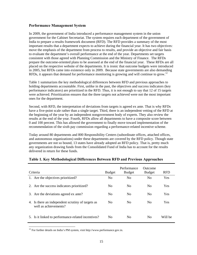## **Performance Management System**

In 2009, the government of India introduced a performance management system in the union government for the Cabinet Secretariat. The system requires each department of the government of India to prepare a results framework document (RFD). The RFD provides a summary of the most important results that a department expects to achieve during the financial year. It has two objectives: move the emphasis of the department from process to results, and provide an objective and fair basis to evaluate the department's overall performance at the end of the year. Departments set targets consistent with those agreed with Planning Commission and the Ministry of Finance. The RFDs prepare the outcome-oriented plans to be assessed at the end of the financial year. These RFDs are all placed on the respective website of the departments. It is ironic that outcome budgets were introduced in 2005, but RFDs came into existence only in 2009. Because state governments are also demanding RFDs, it appears that demand for performance monitoring is growing and will continue to grow.<sup>12</sup>

Table 1 summarizes the key methodological differences between RFD and previous approaches to holding departments accountable. First, unlike in the past, the objectives and success indicators (key performance indicators) are prioritized in the RFD. Thus, it is not enough to say that 12 of 15 targets were achieved. Prioritization ensures that the three targets not achieved were not the most important ones for the department.

Second, with RFD, the interpretation of deviations from targets is agreed ex ante. That is why RFDs have a five-point scale rather than a single target. Third, there is an independent vetting of the RFD at the beginning of the year by an independent nongovernment body of experts. They also review the results at the end of the year. Fourth, RFDs allow all departments to have a composite score between 0 and 100 percent. This has allowed the government to finally move toward implementation of the recommendation of the sixth pay commission regarding a performance-related incentive scheme.

Today around 80 departments and 800 Responsibility Centers (subordinate offices, attached offices, and autonomous organizations) under these departments are covered by the RFD policy. Though state governments are not so bound, 13 states have already adopted an RFD policy. That is, pretty much any organization drawing funds from the Consolidated Fund of India has to account for the results delivered in return for these funds.

| Criteria |                                                                            | <b>Budget</b>  | Performance<br><b>Budget</b> | Outcome<br><b>Budget</b> | <b>RFD</b> |
|----------|----------------------------------------------------------------------------|----------------|------------------------------|--------------------------|------------|
|          | 1. Are the objectives prioritized?                                         | N <sub>0</sub> | No                           | N <sub>0</sub>           | Yes        |
|          | 2. Are the success indicators prioritized?                                 | N <sub>0</sub> | No                           | N <sub>0</sub>           | <b>Yes</b> |
|          | 3. Are the deviations agreed ex ante?                                      | N <sub>0</sub> | No                           | N <sub>0</sub>           | <b>Yes</b> |
|          | 4. Is there an independent scrutiny of targets as<br>well as achievements? | No.            | No                           | N <sub>0</sub>           | <b>Yes</b> |
|          | 5. Is it linked to performance-related incentives?                         | No             | No                           | N <sub>0</sub>           | Will be    |

#### **Table 1. Key Methodological Differences Between RFD and Previous Approaches**

 $12$  For further details on India's PM system, visit http://www.performance.gov.in.

 $\overline{a}$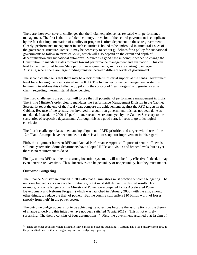There are, however, several challenges that the Indian experience has revealed with performance management. The first is that in a federal country, the vision of the central government is complicated by the fact that implementation of a policy or program is often dependent on the state government. Clearly, performance management in such countries is bound to be embroiled in structural issues of the governance structure. Hence, it may be necessary to set out guidelines for a policy for subnational governments to follow in terms of M&E, which will also depend on the extent and depth of decentralization and subnational autonomy. Mexico is a good case in point; it needed to change the Constitution to mandate states to move toward performance management and evaluation. This can lead to the creation of federal/state performance agreements, such as are starting to emerge in Australia, where there are large funding transfers between different levels of government.

The second challenge is that there may be a lack of interministerial support at the central government level for achieving the results stated in the RFD. The Indian performance management system is beginning to address this challenge by piloting the concept of "team targets" and greater ex ante clarity regarding interministerial dependencies.

The third challenge is the political will to use the full potential of performance management in India. The Prime Minister's order clearly mandates the Performance Management Division in the Cabinet Secretariat to, at the end of the fiscal year, compare the achievements against the RFD targets in the Cabinet. Because of the sensitivities involved in a coalition government, this has not been done as mandated. Instead, the 2009–10 performance results were conveyed by the Cabinet Secretary to the secretaries of respective departments. Although this is a good start, it needs to go to its logical conclusion.

The fourth challenge relates to enhancing alignment of RFD priorities and targets with those of the 12th Plan. Attempts have been made, but there is a lot of scope for improvement in this regard.

Fifth, the alignment between RFD and Annual Performance Appraisal Reports of senior officers is still not systematic. Some departments have adopted RFDs at division and branch levels, but as yet there is no requirement to do so.

Finally, unless RFD is linked to a strong incentive system, it will not be fully effective. Indeed, it may even deteriorate over time. These incentives can be pecuniary or nonpecuniary, but they must matter.

## **Outcome Budgeting**

 $\overline{a}$ 

The Finance Minister announced in 2005–06 that all ministries must practice outcome budgeting. The outcome budget is also an excellent initiative, but it must still deliver the desired results. For example, outcome budgets of the Ministry of Power were prepared for its Accelerated Power Development and Reforms Program (which was launched in February 2000) with the aim, among other things, to reduce the theft of power. But the country still suffers \$10 billion worth of losses (mostly from theft) in the power sector.

The outcome budget appears not to be achieving its objectives because the assumptions of the theory of change underlying this initiative have not been satisfied (Gupta 2011). This is not entirely surprising. The theory consists of four assumptions.<sup>13</sup> First, the government assumed that issuing of

 $13$  There are other countries where difficulties have arisen in outcome budgeting. Australia has a long history (from 1997 to the present) of failed initiatives regarding outcome budgeting reporting.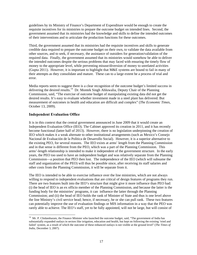guidelines by its Ministry of Finance's Department of Expenditure would be enough to create the requisite incentives for its ministries to prepare the outcome budget on intended lines. Second, the government assumed that its ministries had the knowledge and skills to define the intended outcomes of their interventions and to articulate the production functions for these outcomes.

Third, the government assumed that its ministries had the requisite incentives and skills to generate credible data required to prepare the outcome budget on their own, to validate the data available from other sources, and to seek, if necessary, the assistance of outsiders for generation/validation of the required data. Finally, the government assumed that its ministries would somehow be able to deliver the intended outcomes despite the serious problems that may faced with ensuring the timely flow of money to the appropriate level, while preventing misuse/diversion of money to unrelated activities (Gupta 2011). However, it is important to highlight that M&E systems are bound to fail in many of their attempts as they consolidate and mature. These can to a large extent be a process of trial and error.

Media reports seem to suggest there is a clear recognition of the outcome budget's limited success in delivering the desired results.<sup>14</sup> Dr. Montek Singh Ahluwalia, Deputy Chair of the Planning Commission, said, "The exercise of outcome budget of manipulating existing data did not get the desired results. It's easy to evaluate whether investment made in a steel plant has delivered. But measurement of outcomes in health and education are difficult and complex" (*The Economic Times*, October 13, 2009).

#### **Independent Evaluation Office**

 $\overline{a}$ 

It is in this context that the central government announced in June 2009 that it would create an Independent Evaluation Office (IEO). The Cabinet approved its creation in 2011, and it has recently become functional (latter half of 2013). However, there is no legislation underpinning the creation of IEO which makes it a weak alternate to other institutional arrangements (such as Mexico's Consejo Nacional de Evaluación de la Política de Desarrollo Social). However, it is a superior alternative to the existing PEO, for several reasons. The IEO exists at arms' length from the Planning Commission and in that sense is different from the PEO, which was a part of the Planning Commission. This arms'-length relationship is intended to make it independent of the government structure. In the early years, the PEO too used to have an independent budget and was relatively separate from the Planning Commission—a position that PEO then lost. The independence of the IEO (which will subsume the staff and organization of the PEO) will thus be possible since, after receiving its staff salaries and other costs from the Planning Commission, it will be separate from it.

The IEO is intended to be able to exercise influence over the line ministries, which are not always willing to respond to independent evaluations that are critical of design features of programs they run. There are two features built into the IEO's structure that might give it more influence than PEO had: (i) the head of IEO is an ex officio member of the Planning Commission, and because the latter is the funding body for the ministries' programs, it can influence the latter through the Planning Commission; and (ii) the head of IEO holds the rank of Minister of State and thus is one level above the line Ministry's civil service head; hence, if necessary, he or she can pull rank. These two features can potentially improve the use of evaluation findings or MIS information in a way that the PEO was rarely able to achieve. The IEO's staff, yet to be fully appointed, will not be large, but will consist of

<sup>&</sup>lt;sup>14</sup> Mr. P. Chidambaram, the Finance Minister who launched the outcome budget, said, "The government of India has substantially expanded outlays in sectors like irrigation, education and health, but kept on following the existing 'tried and failed' system, as a result of which the outcome of these enhanced outlays is not visible at the ground level" (*The Times of India*, December 3, 2007).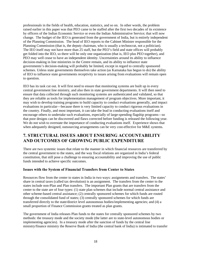professionals in the fields of health, education, statistics, and so on. In other words, the problem raised earlier in this paper was that PEO came to be staffed after the first two decades of its existence by officers of the Indian Economic Service or even the Indian Administrative Service; that will now change. The budget of the IEO is generated from the government of India, but is entirely independent of the Planning Commission. The head of IEO reports to the Cabinet Minister responsible for the Planning Commission (that is, the deputy chairman, who is usually a technocrat, not a politician). The IEO itself may not have more than 25 staff, but the PEO's field and state offices will probably get folded into the IEO, so there will be only one organization (that is, IEO plus PEO together), and PEO may well cease to have an independent identity. Uncertainties around its ability to influence decision-making in line ministries in the Centre remain, and its ability to influence state governments's decision-making will probably be limited, except in regard to centrally sponsored schemes. Unless state governments themselves take action (as Karnataka has begun to do) the ability of IEO to influence state governments receptivity to issues arising from evaluations will remain open to question.

IEO has its task cut out. It will first need to ensure that monitoring systems are built up in every central government line ministry, and also then in state government departments. It will then need to ensure that data collected through such monitoring systems are authenticated and validated, so that they are reliable as tools for implementation management of program objectives. More important, it may wish to develop training programs to build capacity to conduct evaluations generally, and impact evaluations in particular—because there is very limited capacity to conduct rigorous evaluations in the country. Finally, and most important, it can take the lead in conducting evaluations itself and encourage others to undertake such evaluations, especially of large-spending flagship programs—so that poor designs can be discovered and flaws corrected before funding is released the following year. We do not wish to overstate the importance of conducting evaluations itself. Experience shows that when adequately designed, outsourcing arrangements can be very cost-effective for M&E systems.

## **7. STRUCTURAL ISSUES ABOUT ENSURING ACCOUNTABILITY AND OUTCOMES OF GROWING PUBLIC EXPENDITURE**

There are two systemic issues that relate to the manner in which financial resources are transferred by the central government to the states, and the way fiscal relations are organized in India's federal constitution, that still pose a challenge to ensuring accountability and improving the use of public funds intended to achieve specific outcomes.

## **Issues with the System of Financial Transfers from Center to States**

Resources flow from the center to states in India in two ways: assignments and transfers. The states' share in central taxes (called tax devolution) is an assignment. The transfers from the center to the states include non-Plan and Plan transfers. The important Plan grants that are transfers from the center to the state are of four types: (1) state plan schemes that include normal central assistance and other scheme-based central assistance; (2) centrally sponsored schemes for which funds are routed through the consolidated fund of states; (3) centrally sponsored schemes for which funds are transferred directly to the state/district level autonomous bodies/implementing agencies; and (4) a small proportion of Finance Commission grants treated as plan grants.

The government of India releases Plan funds to the states for centrally sponsored schemes by two methods: the treasury mode and the society mode (the latter are to state-level autonomous bodies or implementing agencies). In a treasury mode after the sanction of funds by the central line ministry/finance ministry the Reserve Bank of India (the central bank of India) is intimated to transfer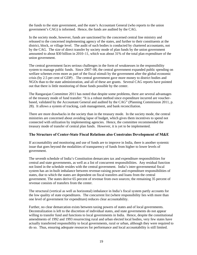the funds to the state government, and the state's Accountant General (who reports to the union government's CAG) is informed. Hence, the funds are audited by the CAG.

In the society mode, however, funds are sanctioned by the concerned central line ministry and released to the concerned implementing agency of the states, and further to their constituents at the district, block, or village level. The audit of such bodies is conducted by chartered accountants, not by the CAG. The size of direct transfer by society mode of plan funds by the union government amounted to about \$30 billion in 2010–11, which was about 31% of the total plan expenditure of the union government.

The central government faces serious challenges in the form of weaknesses in the responsibility system to manage public funds. Since 2007–08, the central government expanded public spending on welfare schemes even more as part of the fiscal stimuli by the government after the global economic crisis (by 2.5 per cent of GDP) . The central government gave more money to district bodies and NGOs than to the state administration, and all of these are grants. Several CAG reports have pointed out that there is little monitoring of those funds possible by the center.

The Rangarajan Committee 2011 has noted that despite some problems, there are several advantages of the treasury mode of fund transfer: "It is a robust method since expenditure incurred are voucherbased, validated by the Accountant General and audited by the CAG" (Planning Commission 2011, p. 28). It allows a system of tracking, cash management, and bank reconciliation.

There are more drawbacks in the society than in the treasury mode. In the society mode, the central ministries are concerned about avoiding lapse of budget, which gives them incentives to spend not connected with utilization by implementing agencies. Hence, the committee recommended the treasury mode of transfer of central plan funds. However, it is yet to be implemented.

## **The Structure of Center-State Fiscal Relations also Constrains Development of M&E**

If accountability and monitoring and use of funds are to improve in India, there is another systemic issue that goes beyond the modalities of transparency of funds from higher to lower levels of government.

The seventh schedule of India's Constitution demarcates tax and expenditure responsibilities for central and state governments, as well as a list of concurrent responsibilities. Any residual function not listed in the schedule resides with the central government. India's inter-governmental fiscal system has an in-built imbalance between revenue-raising power and expenditure responsibilities of states, due to which the states are dependent on fiscal transfers and loans from the central government. The states derive 65 percent of revenue from own sources; the remaining 35 percent of revenue consists of transfers from the center.

The structural (vertical as well as horizontal) imbalance in India's fiscal system partly accounts for the low quality of state expenditures. The concurrent list (where responsibility lies with more than one level of government for expenditure) reduces clear accountability.

Further, no clear demarcation exists between taxing powers of states and of local governments. Decentralization is left to the discretion of individual states, and state governments do not appear willing to transfer fund and functions to local governments in India. Hence, despite the constitutional amendments of 1992 and 1993 resurrecting rural and urban elected local bodies, very few states have actually transferred responsibility to local governments, rural or urban, although they were required to do so. Thus, ensuring adequate resources for performance and local accountability is still limited.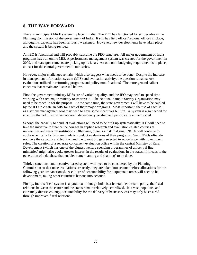## **8. THE WAY FORWARD**

There is an incipient M&E system in place in India. The PEO has functioned for six decades in the Planning Commission of the government of India. It still has field offices/regional offices in place, although its capacity has been seriously weakened. However, new developments have taken place and the system is being revived.

An IEO is functional and will probably subsume the PEO structure. All major government of India programs have an online MIS. A performance management system was created for the government in 2009, and state governments are picking up its ideas. An outcome-budgeting requirement is in place, at least for the central government's ministries.

However, major challenges remain, which also suggest what needs to be done. Despite the increase in management information system (MIS) and evaluation activity, the question remains: Are evaluations utilized in reforming programs and policy modifications? The more general salient concerns that remain are discussed below.

First, the government ministry MISs are of variable quality, and the IEO may need to spend time working with each major ministry to improve it. The National Sample Survey Organization may need to be roped in for the purpose. At the same time, the state governments will have to be cajoled by the IEO to create an MIS for each of their major programs. Most important, the use of each MIS as a serious management tool may need to have some incentives built in. A system is also needed for ensuring that administrative data are independently verified and periodically authenticated.

Second, the capacity to conduct evaluations will need to be built up systematically; IEO will need to take the initiative to finance the courses in applied research and evaluation-related courses at universities and research institutions. Otherwise, there is a risk that small NGOs will continue to apply when calls for bids are made to conduct evaluations of their programs. Such NGOs often do not have the capacity and bid low, and the lowest bid gets selected in accordance with government rules. The creation of a separate concurrent evaluation office within the central Ministry of Rural Development (which has one of the biggest welfare spending programmes of all central line ministries) might also evoke greater interest in the results of evaluations in the states, if it leads to the generation of a database that enables some 'naming and shaming' to be done.

Third, a sanctions- and incentive-based system will need to be considered by the Planning Commission so that once evaluations are ready, they are taken into account before allocations for the following year are sanctioned. A culture of accountability for outputs/outcomes will need to be development, taking other countries' lessons into account.

Finally, India's fiscal system is a paradox: although India is a federal, democratic polity, the fiscal relations between the center and the states remain relatively centralized. In a vast, populous, and extremely diverse country, accountability for the delivery of basic services may only be ensured through improved fiscal relations.